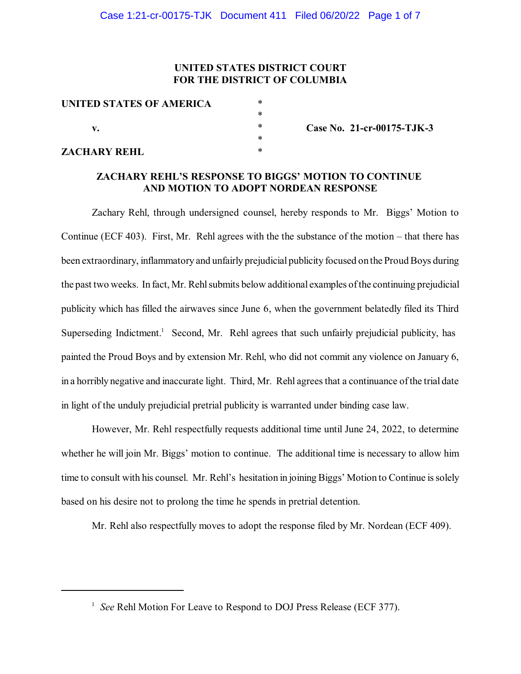# **UNITED STATES DISTRICT COURT FOR THE DISTRICT OF COLUMBIA**

| UNITED STATES OF AMERICA | *         |
|--------------------------|-----------|
| v.                       | *         |
|                          | $^{\ast}$ |
|                          | *         |
| <b>ZACHARY REHL</b>      | *         |

**Case No. 21-cr-00175-TJK-3**

### **ZACHARY REHL'S RESPONSE TO BIGGS' MOTION TO CONTINUE AND MOTION TO ADOPT NORDEAN RESPONSE**

Zachary Rehl, through undersigned counsel, hereby responds to Mr. Biggs' Motion to Continue (ECF 403). First, Mr. Rehl agrees with the the substance of the motion – that there has been extraordinary, inflammatory and unfairly prejudicial publicity focused on the Proud Boys during the past two weeks. In fact, Mr. Rehl submits below additional examples of the continuing prejudicial publicity which has filled the airwaves since June 6, when the government belatedly filed its Third Superseding Indictment.<sup>1</sup> Second, Mr. Rehl agrees that such unfairly prejudicial publicity, has painted the Proud Boys and by extension Mr. Rehl, who did not commit any violence on January 6, in a horribly negative and inaccurate light. Third, Mr. Rehl agreesthat a continuance ofthe trial date in light of the unduly prejudicial pretrial publicity is warranted under binding case law.

However, Mr. Rehl respectfully requests additional time until June 24, 2022, to determine whether he will join Mr. Biggs' motion to continue. The additional time is necessary to allow him time to consult with his counsel. Mr. Rehl's hesitation in joining Biggs' Motion to Continue is solely based on his desire not to prolong the time he spends in pretrial detention.

Mr. Rehl also respectfully moves to adopt the response filed by Mr. Nordean (ECF 409).

<sup>&</sup>lt;sup>1</sup> See Rehl Motion For Leave to Respond to DOJ Press Release (ECF 377).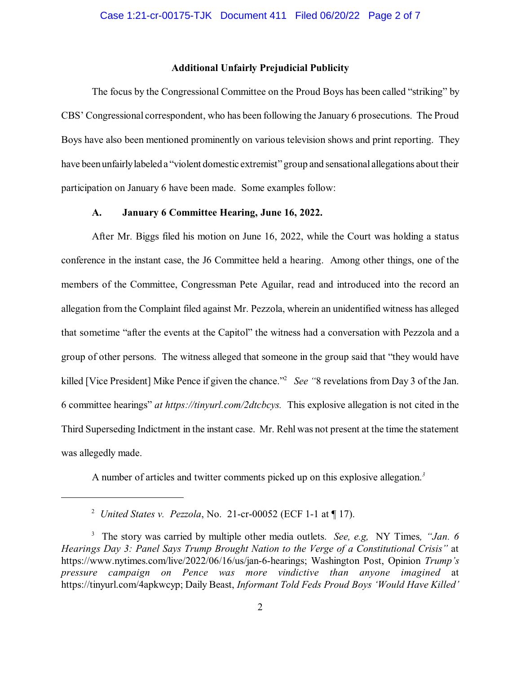### **Additional Unfairly Prejudicial Publicity**

The focus by the Congressional Committee on the Proud Boys has been called "striking" by CBS' Congressional correspondent, who has been following the January 6 prosecutions. The Proud Boys have also been mentioned prominently on various television shows and print reporting. They have been unfairly labeled a "violent domestic extremist" group and sensational allegations about their participation on January 6 have been made. Some examples follow:

## **A. January 6 Committee Hearing, June 16, 2022.**

After Mr. Biggs filed his motion on June 16, 2022, while the Court was holding a status conference in the instant case, the J6 Committee held a hearing. Among other things, one of the members of the Committee, Congressman Pete Aguilar, read and introduced into the record an allegation from the Complaint filed against Mr. Pezzola, wherein an unidentified witness has alleged that sometime "after the events at the Capitol" the witness had a conversation with Pezzola and a group of other persons. The witness alleged that someone in the group said that "they would have killed [Vice President] Mike Pence if given the chance."<sup>2</sup> See "8 revelations from Day 3 of the Jan. 6 committee hearings" *at https://tinyurl.com/2dtcbcys.* This explosive allegation is not cited in the Third Superseding Indictment in the instant case. Mr. Rehl was not present at the time the statement was allegedly made.

A number of articles and twitter comments picked up on this explosive allegation. *3*

*United States v. Pezzola*, No. 21-cr-00052 (ECF 1-1 at ¶ 17). <sup>2</sup>

The story was carried by multiple other media outlets. *See, e.g,* NY Times*, "Jan. 6* 3 *Hearings Day 3: Panel Says Trump Brought Nation to the Verge of a Constitutional Crisis"* at https://www.nytimes.com/live/2022/06/16/us/jan-6-hearings; Washington Post, Opinion *Trump's pressure campaign on Pence was more vindictive than anyone imagined* at https://tinyurl.com/4apkwcyp; Daily Beast, *Informant Told Feds Proud Boys 'Would Have Killed'*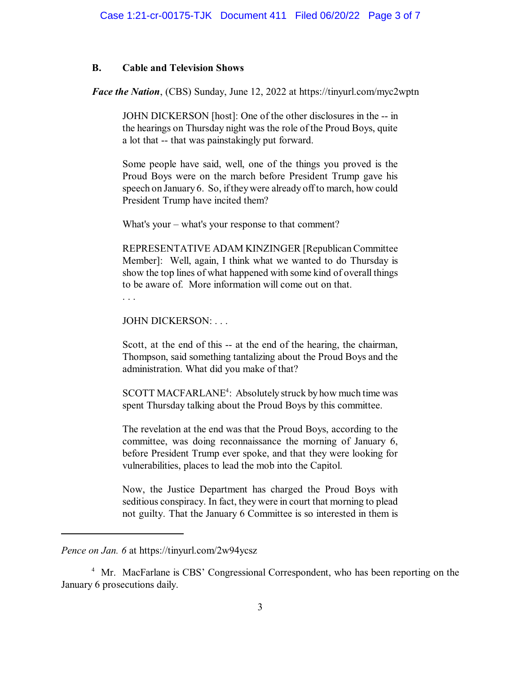### **B. Cable and Television Shows**

*Face the Nation*, (CBS) Sunday, June 12, 2022 at https://tinyurl.com/myc2wptn

JOHN DICKERSON [host]: One of the other disclosures in the -- in the hearings on Thursday night was the role of the Proud Boys, quite a lot that -- that was painstakingly put forward.

Some people have said, well, one of the things you proved is the Proud Boys were on the march before President Trump gave his speech on January 6. So, if they were already off to march, how could President Trump have incited them?

What's your – what's your response to that comment?

REPRESENTATIVE ADAM KINZINGER [RepublicanCommittee Member]: Well, again, I think what we wanted to do Thursday is show the top lines of what happened with some kind of overall things to be aware of. More information will come out on that.

. . .

JOHN DICKERSON: . . .

Scott, at the end of this -- at the end of the hearing, the chairman, Thompson, said something tantalizing about the Proud Boys and the administration. What did you make of that?

SCOTT MACFARLANE<sup>4</sup>: Absolutely struck by how much time was spent Thursday talking about the Proud Boys by this committee.

The revelation at the end was that the Proud Boys, according to the committee, was doing reconnaissance the morning of January 6, before President Trump ever spoke, and that they were looking for vulnerabilities, places to lead the mob into the Capitol.

Now, the Justice Department has charged the Proud Boys with seditious conspiracy. In fact, they were in court that morning to plead not guilty. That the January 6 Committee is so interested in them is

<sup>4</sup> Mr. MacFarlane is CBS' Congressional Correspondent, who has been reporting on the January 6 prosecutions daily.

*Pence on Jan. 6* at https://tinyurl.com/2w94ycsz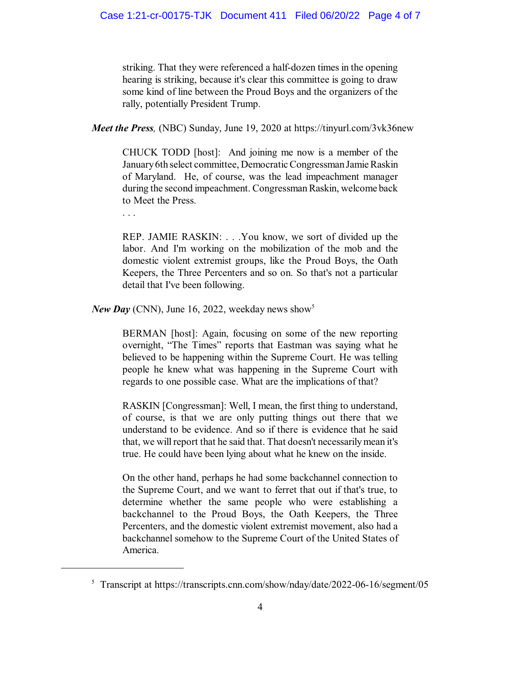striking. That they were referenced a half-dozen times in the opening hearing is striking, because it's clear this committee is going to draw some kind of line between the Proud Boys and the organizers of the rally, potentially President Trump.

*Meet the Press,* (NBC) Sunday, June 19, 2020 at https://tinyurl.com/3vk36new

CHUCK TODD [host]: And joining me now is a member of the January6th select committee, Democratic Congressman Jamie Raskin of Maryland. He, of course, was the lead impeachment manager during the second impeachment. Congressman Raskin, welcome back to Meet the Press.

. . .

REP. JAMIE RASKIN: . . .You know, we sort of divided up the labor. And I'm working on the mobilization of the mob and the domestic violent extremist groups, like the Proud Boys, the Oath Keepers, the Three Percenters and so on. So that's not a particular detail that I've been following.

*New Day* (CNN), June 16, 2022, weekday news show 5

BERMAN [host]: Again, focusing on some of the new reporting overnight, "The Times" reports that Eastman was saying what he believed to be happening within the Supreme Court. He was telling people he knew what was happening in the Supreme Court with regards to one possible case. What are the implications of that?

RASKIN [Congressman]: Well, I mean, the first thing to understand, of course, is that we are only putting things out there that we understand to be evidence. And so if there is evidence that he said that, we will report that he said that. That doesn't necessarily mean it's true. He could have been lying about what he knew on the inside.

On the other hand, perhaps he had some backchannel connection to the Supreme Court, and we want to ferret that out if that's true, to determine whether the same people who were establishing a backchannel to the Proud Boys, the Oath Keepers, the Three Percenters, and the domestic violent extremist movement, also had a backchannel somehow to the Supreme Court of the United States of America.

 $5$  Transcript at https://transcripts.cnn.com/show/nday/date/2022-06-16/segment/05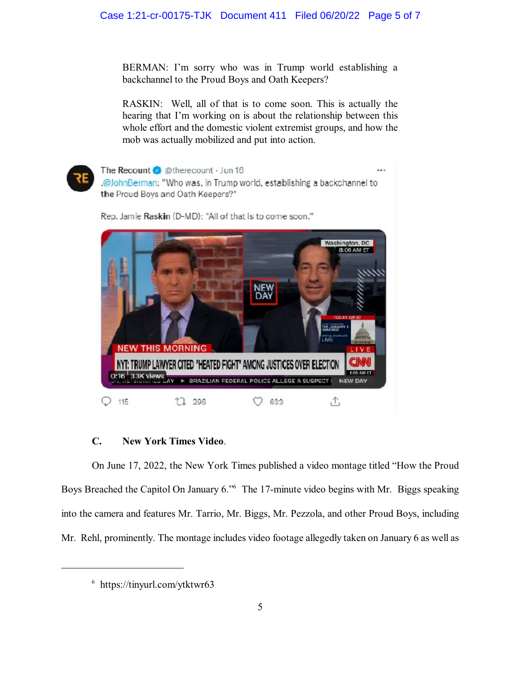BERMAN: I'm sorry who was in Trump world establishing a backchannel to the Proud Boys and Oath Keepers?

RASKIN: Well, all of that is to come soon. This is actually the hearing that I'm working on is about the relationship between this whole effort and the domestic violent extremist groups, and how the mob was actually mobilized and put into action.



The Recount & @therecount · Jun 16 .@JohnBerman: "Who was, in Trump world, establishing a backchannel to the Proud Boys and Oath Keepers?" Rep. Jamie Raskin (D-MD): "All of that is to come soon."



## **C. New York Times Video**.

On June 17, 2022, the New York Times published a video montage titled "How the Proud Boys Breached the Capitol On January 6." The 17-minute video begins with Mr. Biggs speaking into the camera and features Mr. Tarrio, Mr. Biggs, Mr. Pezzola, and other Proud Boys, including Mr. Rehl, prominently. The montage includes video footage allegedly taken on January 6 as well as

 $6$  https://tinyurl.com/ytktwr63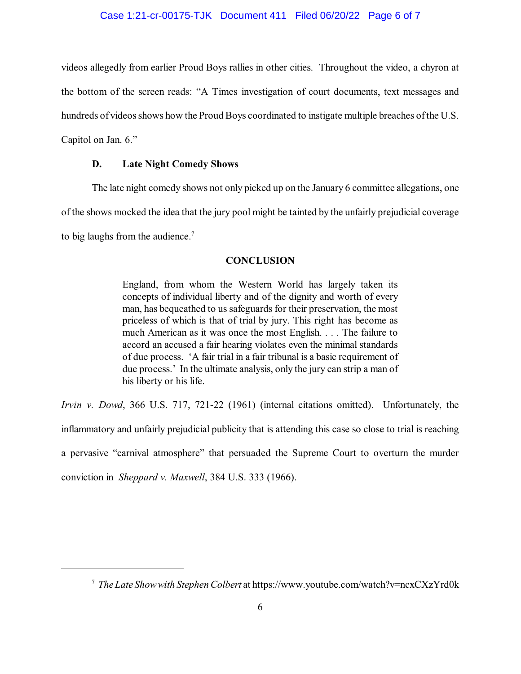### Case 1:21-cr-00175-TJK Document 411 Filed 06/20/22 Page 6 of 7

videos allegedly from earlier Proud Boys rallies in other cities. Throughout the video, a chyron at the bottom of the screen reads: "A Times investigation of court documents, text messages and hundreds of videos shows how the Proud Boys coordinated to instigate multiple breaches of the U.S. Capitol on Jan. 6."

#### **D. Late Night Comedy Shows**

The late night comedy shows not only picked up on the January 6 committee allegations, one of the shows mocked the idea that the jury pool might be tainted by the unfairly prejudicial coverage to big laughs from the audience.<sup>7</sup>

#### **CONCLUSION**

England, from whom the Western World has largely taken its concepts of individual liberty and of the dignity and worth of every man, has bequeathed to us safeguards for their preservation, the most priceless of which is that of trial by jury. This right has become as much American as it was once the most English. . . . The failure to accord an accused a fair hearing violates even the minimal standards of due process. 'A fair trial in a fair tribunal is a basic requirement of due process.' In the ultimate analysis, only the jury can strip a man of his liberty or his life.

*Irvin v. Dowd*, 366 U.S. 717, 721-22 (1961) (internal citations omitted). Unfortunately, the inflammatory and unfairly prejudicial publicity that is attending this case so close to trial is reaching a pervasive "carnival atmosphere" that persuaded the Supreme Court to overturn the murder conviction in *Sheppard v. Maxwell*, 384 U.S. 333 (1966).

*The Late Showwith Stephen Colbert* at https://www.youtube.com/watch?v=ncxCXzYrd0k <sup>7</sup>